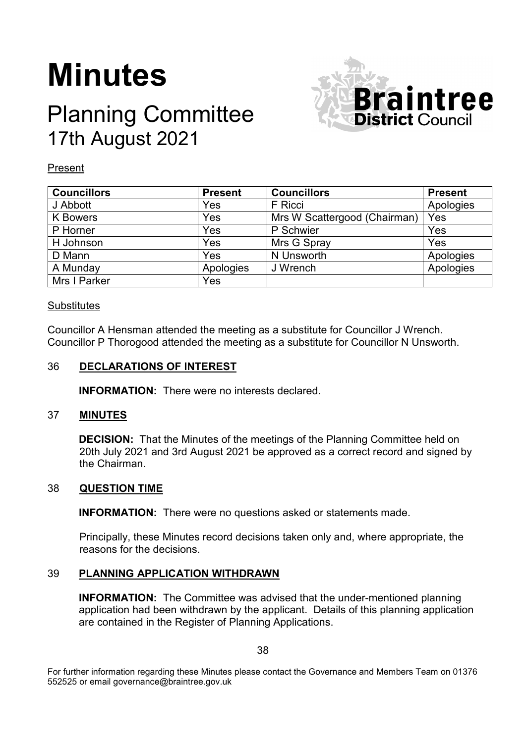# **Minutes**

# Planning Committee 17th August 2021



# Present

| <b>Councillors</b> | <b>Present</b> | <b>Councillors</b>           | <b>Present</b> |
|--------------------|----------------|------------------------------|----------------|
| J Abbott           | Yes            | F Ricci                      | Apologies      |
| <b>K</b> Bowers    | Yes            | Mrs W Scattergood (Chairman) | Yes            |
| P Horner           | Yes            | P Schwier                    | Yes            |
| H Johnson          | Yes            | Mrs G Spray                  | Yes            |
| D Mann             | Yes            | N Unsworth                   | Apologies      |
| A Munday           | Apologies      | J Wrench                     | Apologies      |
| Mrs I Parker       | Yes            |                              |                |

# **Substitutes**

Councillor A Hensman attended the meeting as a substitute for Councillor J Wrench. Councillor P Thorogood attended the meeting as a substitute for Councillor N Unsworth.

### 36 **DECLARATIONS OF INTEREST**

**INFORMATION:** There were no interests declared.

# 37 **MINUTES**

**DECISION:** That the Minutes of the meetings of the Planning Committee held on 20th July 2021 and 3rd August 2021 be approved as a correct record and signed by the Chairman.

#### 38 **QUESTION TIME**

**INFORMATION:** There were no questions asked or statements made.

Principally, these Minutes record decisions taken only and, where appropriate, the reasons for the decisions.

# 39 **PLANNING APPLICATION WITHDRAWN**

**INFORMATION:** The Committee was advised that the under-mentioned planning application had been withdrawn by the applicant. Details of this planning application are contained in the Register of Planning Applications.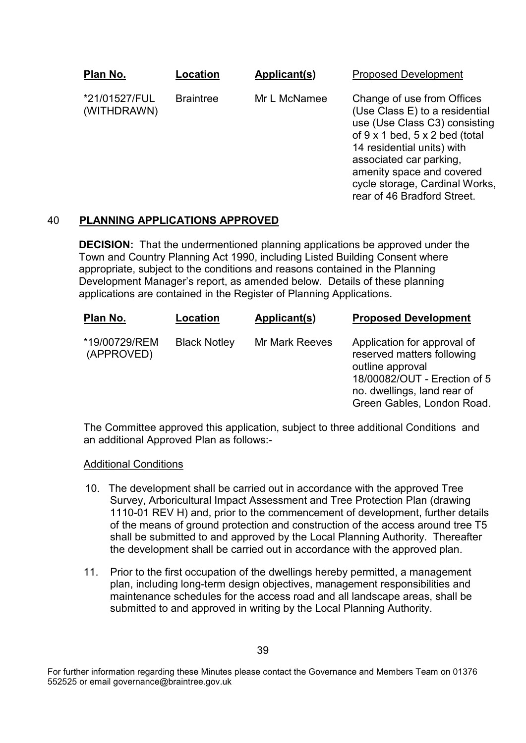| Plan No. |                              | Location         | Applicant(s) | <b>Proposed Development</b>                                                                                                                                                                                                                                                            |
|----------|------------------------------|------------------|--------------|----------------------------------------------------------------------------------------------------------------------------------------------------------------------------------------------------------------------------------------------------------------------------------------|
|          | *21/01527/FUL<br>(WITHDRAWN) | <b>Braintree</b> | Mr L McNamee | Change of use from Offices<br>(Use Class E) to a residential<br>use (Use Class C3) consisting<br>of 9 x 1 bed, 5 x 2 bed (total<br>14 residential units) with<br>associated car parking,<br>amenity space and covered<br>cycle storage, Cardinal Works,<br>rear of 46 Bradford Street. |

# 40 **PLANNING APPLICATIONS APPROVED**

**DECISION:** That the undermentioned planning applications be approved under the Town and Country Planning Act 1990, including Listed Building Consent where appropriate, subject to the conditions and reasons contained in the Planning Development Manager's report, as amended below. Details of these planning applications are contained in the Register of Planning Applications.

| Plan No.                    | Location            | Applicant(s)          | <b>Proposed Development</b>                                                                                                                                                |
|-----------------------------|---------------------|-----------------------|----------------------------------------------------------------------------------------------------------------------------------------------------------------------------|
| *19/00729/REM<br>(APPROVED) | <b>Black Notley</b> | <b>Mr Mark Reeves</b> | Application for approval of<br>reserved matters following<br>outline approval<br>18/00082/OUT - Erection of 5<br>no. dwellings, land rear of<br>Green Gables, London Road. |

The Committee approved this application, subject to three additional Conditions and an additional Approved Plan as follows:-

#### Additional Conditions

- 10. The development shall be carried out in accordance with the approved Tree Survey, Arboricultural Impact Assessment and Tree Protection Plan (drawing 1110-01 REV H) and, prior to the commencement of development, further details of the means of ground protection and construction of the access around tree T5 shall be submitted to and approved by the Local Planning Authority. Thereafter the development shall be carried out in accordance with the approved plan.
- 11. Prior to the first occupation of the dwellings hereby permitted, a management plan, including long-term design objectives, management responsibilities and maintenance schedules for the access road and all landscape areas, shall be submitted to and approved in writing by the Local Planning Authority.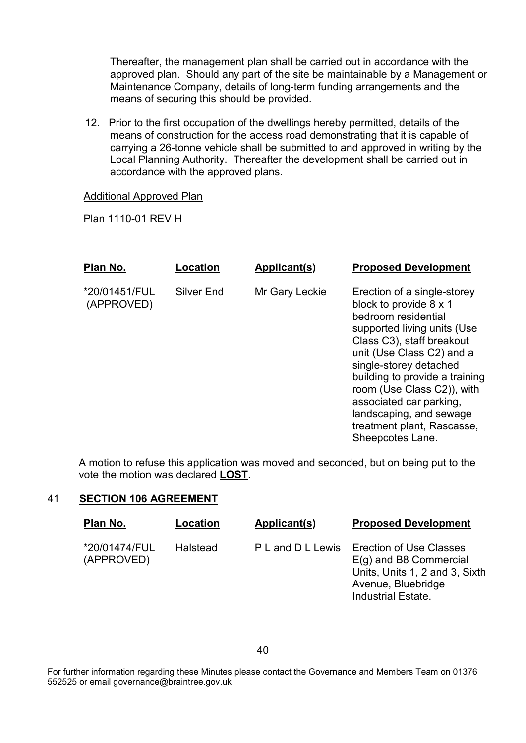Thereafter, the management plan shall be carried out in accordance with the approved plan. Should any part of the site be maintainable by a Management or Maintenance Company, details of long-term funding arrangements and the means of securing this should be provided.

12. Prior to the first occupation of the dwellings hereby permitted, details of the means of construction for the access road demonstrating that it is capable of carrying a 26-tonne vehicle shall be submitted to and approved in writing by the Local Planning Authority. Thereafter the development shall be carried out in accordance with the approved plans.

#### Additional Approved Plan

Plan 1110-01 REV H

| Plan No.                    | Location          | Applicant(s)   | <b>Proposed Development</b>                                                                                                                                                                                                                                                                                                                                             |
|-----------------------------|-------------------|----------------|-------------------------------------------------------------------------------------------------------------------------------------------------------------------------------------------------------------------------------------------------------------------------------------------------------------------------------------------------------------------------|
| *20/01451/FUL<br>(APPROVED) | <b>Silver End</b> | Mr Gary Leckie | Erection of a single-storey<br>block to provide 8 x 1<br>bedroom residential<br>supported living units (Use<br>Class C3), staff breakout<br>unit (Use Class C2) and a<br>single-storey detached<br>building to provide a training<br>room (Use Class C2)), with<br>associated car parking,<br>landscaping, and sewage<br>treatment plant, Rascasse,<br>Sheepcotes Lane. |

A motion to refuse this application was moved and seconded, but on being put to the vote the motion was declared **LOST**.

# 41 **SECTION 106 AGREEMENT**

| Plan No.                    | Location        | Applicant(s)      | <b>Proposed Development</b>                                                                                                                     |
|-----------------------------|-----------------|-------------------|-------------------------------------------------------------------------------------------------------------------------------------------------|
| *20/01474/FUL<br>(APPROVED) | <b>Halstead</b> | P L and D L Lewis | <b>Erection of Use Classes</b><br>$E(g)$ and B8 Commercial<br>Units, Units 1, 2 and 3, Sixth<br>Avenue, Bluebridge<br><b>Industrial Estate.</b> |